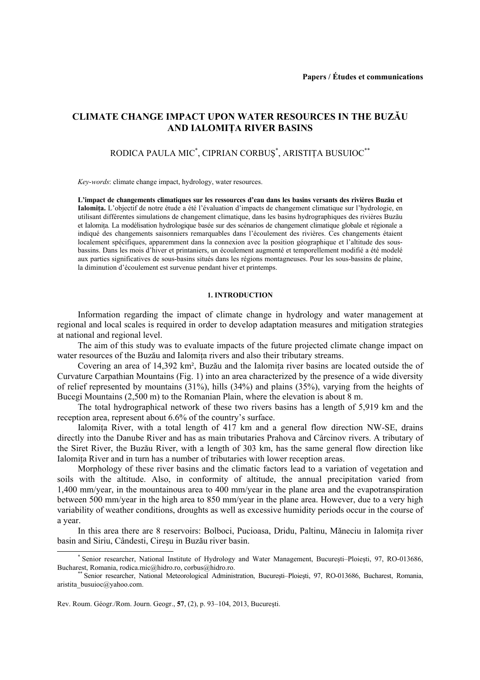# **CLIMATE CHANGE IMPACT UPON WATER RESOURCES IN THE BUZĂU AND IALOMIŢA RIVER BASINS**

## RODICA PAULA MIC\* , CIPRIAN CORBUŞ\* , ARISTIŢA BUSUIOC\*\*

*Key-words*: climate change impact, hydrology, water resources.

**L'impact de changements climatiques sur les ressources d'eau dans les basins versants des rivières Buzău et Ialomiţa.** L'objectif de notre étude a été l'évaluation d'impacts de changement climatique sur l'hydrologie, en utilisant différentes simulations de changement climatique, dans les basins hydrographiques des rivières Buzău et Ialomiţa. La modélisation hydrologique basée sur des scénarios de changement climatique globale et régionale a indiqué des changements saisonniers remarquables dans l'écoulement des rivières. Ces changements étaient localement spécifiques, apparemment dans la connexion avec la position géographique et l'altitude des sousbassins. Dans les mois d'hiver et printaniers, un écoulement augmenté et temporellement modifié a été modelé aux parties significatives de sous-basins situés dans les régions montagneuses. Pour les sous-bassins de plaine, la diminution d'écoulement est survenue pendant hiver et printemps.

## **1. INTRODUCTION**

Information regarding the impact of climate change in hydrology and water management at regional and local scales is required in order to develop adaptation measures and mitigation strategies at national and regional level.

The aim of this study was to evaluate impacts of the future projected climate change impact on water resources of the Buzău and Ialomita rivers and also their tributary streams.

Covering an area of 14,392 km², Buzău and the Ialomiţa river basins are located outside the of Curvature Carpathian Mountains (Fig. 1) into an area characterized by the presence of a wide diversity of relief represented by mountains (31%), hills (34%) and plains (35%), varying from the heights of Bucegi Mountains (2,500 m) to the Romanian Plain, where the elevation is about 8 m.

The total hydrographical network of these two rivers basins has a length of 5,919 km and the reception area, represent about 6.6% of the country's surface.

Ialomita River, with a total length of 417 km and a general flow direction NW-SE, drains directly into the Danube River and has as main tributaries Prahova and Cârcinov rivers. A tributary of the Siret River, the Buzău River, with a length of 303 km, has the same general flow direction like Ialomita River and in turn has a number of tributaries with lower reception areas.

Morphology of these river basins and the climatic factors lead to a variation of vegetation and soils with the altitude. Also, in conformity of altitude, the annual precipitation varied from 1,400 mm/year, in the mountainous area to 400 mm/year in the plane area and the evapotranspiration between 500 mm/year in the high area to 850 mm/year in the plane area. However, due to a very high variability of weather conditions, droughts as well as excessive humidity periods occur in the course of a year.

In this area there are 8 reservoirs: Bolboci, Pucioasa, Dridu, Paltinu, Măneciu in Ialomita river basin and Siriu, Cândesti, Cireşu in Buzău river basin.

Rev. Roum. Géogr./Rom. Journ. Geogr., **57**, (2), p. 93–104, 2013, Bucureşti.

 $\overline{\phantom{a}}$ \* Senior researcher, National Institute of Hydrology and Water Management, București–Ploiești, 97, RO-013686, Bucharest, Romania, rodica.mic@hidro.ro, corbus@hidro.ro.

Senior researcher, National Meteorological Administration, București–Ploiești, 97, RO-013686, Bucharest, Romania, aristita\_busuioc@yahoo.com.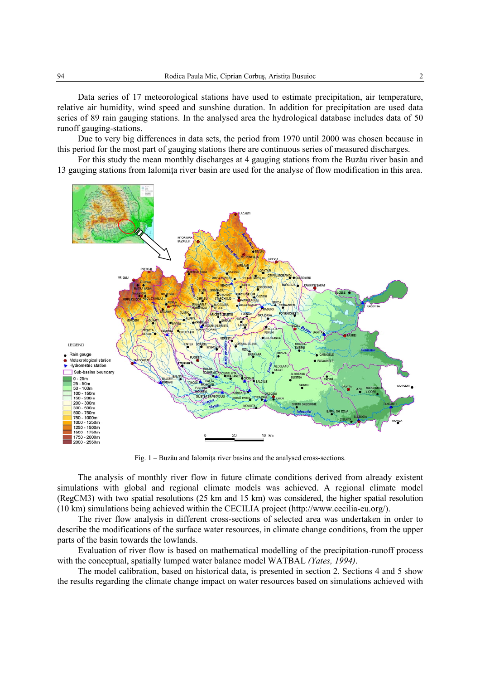Data series of 17 meteorological stations have used to estimate precipitation, air temperature, relative air humidity, wind speed and sunshine duration. In addition for precipitation are used data series of 89 rain gauging stations. In the analysed area the hydrological database includes data of 50 runoff gauging-stations.

Due to very big differences in data sets, the period from 1970 until 2000 was chosen because in this period for the most part of gauging stations there are continuous series of measured discharges.

For this study the mean monthly discharges at 4 gauging stations from the Buzău river basin and 13 gauging stations from Ialomiţa river basin are used for the analyse of flow modification in this area.



Fig.  $1 - B$ uzău and Ialomita river basins and the analysed cross-sections.

The analysis of monthly river flow in future climate conditions derived from already existent simulations with global and regional climate models was achieved. A regional climate model (RegCM3) with two spatial resolutions (25 km and 15 km) was considered, the higher spatial resolution (10 km) simulations being achieved within the CECILIA project (http://www.cecilia-eu.org/).

The river flow analysis in different cross-sections of selected area was undertaken in order to describe the modifications of the surface water resources, in climate change conditions, from the upper parts of the basin towards the lowlands.

Evaluation of river flow is based on mathematical modelling of the precipitation-runoff process with the conceptual, spatially lumped water balance model WATBAL *(Yates, 1994)*.

The model calibration, based on historical data, is presented in section 2. Sections 4 and 5 show the results regarding the climate change impact on water resources based on simulations achieved with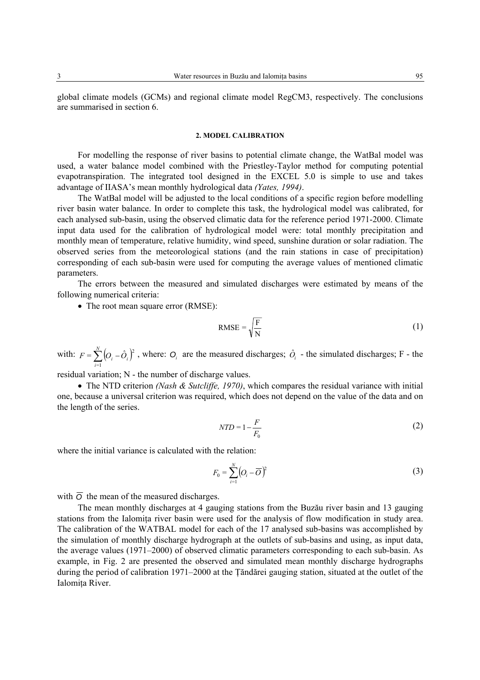global climate models (GCMs) and regional climate model RegCM3, respectively. The conclusions are summarised in section 6.

#### **2. MODEL CALIBRATION**

For modelling the response of river basins to potential climate change, the WatBal model was used, a water balance model combined with the Priestley-Taylor method for computing potential evapotranspiration. The integrated tool designed in the EXCEL 5.0 is simple to use and takes advantage of IIASA's mean monthly hydrological data *(Yates, 1994)*.

The WatBal model will be adjusted to the local conditions of a specific region before modelling river basin water balance. In order to complete this task, the hydrological model was calibrated, for each analysed sub-basin, using the observed climatic data for the reference period 1971-2000. Climate input data used for the calibration of hydrological model were: total monthly precipitation and monthly mean of temperature, relative humidity, wind speed, sunshine duration or solar radiation. The observed series from the meteorological stations (and the rain stations in case of precipitation) corresponding of each sub-basin were used for computing the average values of mentioned climatic parameters.

The errors between the measured and simulated discharges were estimated by means of the following numerical criteria:

• The root mean square error (RMSE):

$$
RMSE = \sqrt{\frac{F}{N}}
$$
 (1)

with:  $F = \sum_{i=1}^{N} (O_i - \hat{O}_i)$  $F = \sum_{i=1}^{ } [O_i - O_i]$  $(\hat{D}_i)^2$ , where:  $O_i$  are the measured discharges;  $\hat{O}_i$  - the simulated discharges; F - the

residual variation; N - the number of discharge values.

• The NTD criterion *(Nash & Sutcliffe, 1970)*, which compares the residual variance with initial one, because a universal criterion was required, which does not depend on the value of the data and on the length of the series.

$$
NTD = 1 - \frac{F}{F_0} \tag{2}
$$

where the initial variance is calculated with the relation:

$$
F_0 = \sum_{i=1}^{N} \left( O_i - \overline{O} \right)^2 \tag{3}
$$

with  $\overline{O}$  the mean of the measured discharges.

The mean monthly discharges at 4 gauging stations from the Buzău river basin and 13 gauging stations from the Ialomita river basin were used for the analysis of flow modification in study area. The calibration of the WATBAL model for each of the 17 analysed sub-basins was accomplished by the simulation of monthly discharge hydrograph at the outlets of sub-basins and using, as input data, the average values (1971–2000) of observed climatic parameters corresponding to each sub-basin. As example, in Fig. 2 are presented the observed and simulated mean monthly discharge hydrographs during the period of calibration 1971–2000 at the Ţăndărei gauging station, situated at the outlet of the Ialomita River.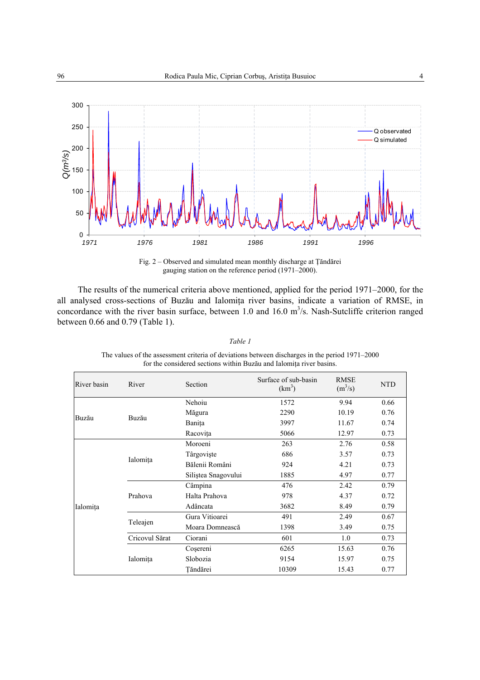

Fig. 2 – Observed and simulated mean monthly discharge at Ţăndărei gauging station on the reference period (1971–2000).

The results of the numerical criteria above mentioned, applied for the period 1971–2000, for the all analysed cross-sections of Buzău and Ialomiţa river basins, indicate a variation of RMSE, in concordance with the river basin surface, between 1.0 and 16.0  $m^3/s$ . Nash-Sutcliffe criterion ranged between 0.66 and 0.79 (Table 1).

| River basin | River          | Section             | Surface of sub-basin<br>$(km^3)$ | <b>RMSE</b><br>$(m^3/s)$ | <b>NTD</b> |
|-------------|----------------|---------------------|----------------------------------|--------------------------|------------|
|             | Buzău          | Nehoiu              | 1572                             | 9.94                     | 0.66       |
| Buzău       |                | Măgura              | 2290                             | 10.19                    | 0.76       |
|             |                | Banita              | 3997                             | 11.67                    | 0.74       |
|             |                | Racovița            | 5066                             | 12.97                    | 0.73       |
| Ialomița    | Ialomița       | Moroeni             | 263                              | 2.76                     | 0.58       |
|             |                | Târgoviște          | 686                              | 3.57                     | 0.73       |
|             |                | Bălenii Români      | 924                              | 4.21                     | 0.73       |
|             |                | Siliștea Snagovului | 1885                             | 4.97                     | 0.77       |
|             | Prahova        | Câmpina             | 476                              | 2.42                     | 0.79       |
|             |                | Halta Prahova       | 978                              | 4.37                     | 0.72       |
|             |                | Adâncata            | 3682                             | 8.49                     | 0.79       |
|             |                | Gura Vitioarei      | 491                              | 2.49                     | 0.67       |
|             | Teleajen       | Moara Domnească     | 1398                             | 3.49                     | 0.75       |
|             | Cricovul Sărat | Ciorani             | 601                              | 1.0                      | 0.73       |
|             | Ialomița       | Cosereni            | 6265                             | 15.63                    | 0.76       |
|             |                | Slobozia            | 9154                             | 15.97                    | 0.75       |
|             |                | Tăndărei            | 10309                            | 15.43                    | 0.77       |

The values of the assessment criteria of deviations between discharges in the period 1971–2000 for the considered sections within Buzău and Ialomita river basins.

*Table 1*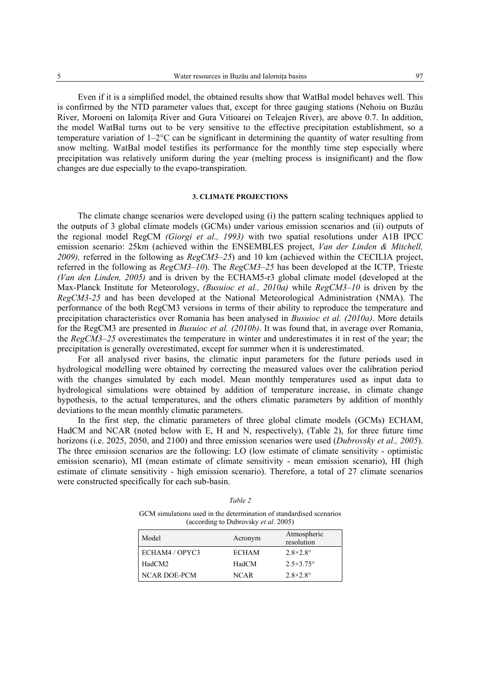Even if it is a simplified model, the obtained results show that WatBal model behaves well. This is confirmed by the NTD parameter values that, except for three gauging stations (Nehoiu on Buzău River, Moroeni on Ialomita River and Gura Vitioarei on Teleajen River), are above 0.7. In addition, the model WatBal turns out to be very sensitive to the effective precipitation establishment, so a temperature variation of  $1-2^{\circ}C$  can be significant in determining the quantity of water resulting from snow melting. WatBal model testifies its performance for the monthly time step especially where precipitation was relatively uniform during the year (melting process is insignificant) and the flow changes are due especially to the evapo-transpiration.

#### **3. CLIMATE PROJECTIONS**

The climate change scenarios were developed using (i) the pattern scaling techniques applied to the outputs of 3 global climate models (GCMs) under various emission scenarios and (ii) outputs of the regional model RegCM *(Giorgi et al., 1993)* with two spatial resolutions under A1B IPCC emission scenario: 25km (achieved within the ENSEMBLES project, *Van der Linden & Mitchell, 2009),* referred in the following as *RegCM3–25*) and 10 km (achieved within the CECILIA project, referred in the following as *RegCM3–10*). The *RegCM3–25* has been developed at the ICTP, Trieste *(Van den Linden, 2005)* and is driven by the ECHAM5-r3 global climate model (developed at the Max-Planck Institute for Meteorology, *(Busuioc et al., 2010a)* while *RegCM3–10* is driven by the *RegCM3-25* and has been developed at the National Meteorological Administration (NMA). The performance of the both RegCM3 versions in terms of their ability to reproduce the temperature and precipitation characteristics over Romania has been analysed in *Busuioc et al. (2010a)*. More details for the RegCM3 are presented in *Busuioc et al. (2010b)*. It was found that, in average over Romania, the *RegCM3–25* overestimates the temperature in winter and underestimates it in rest of the year; the precipitation is generally overestimated, except for summer when it is underestimated.

For all analysed river basins, the climatic input parameters for the future periods used in hydrological modelling were obtained by correcting the measured values over the calibration period with the changes simulated by each model. Mean monthly temperatures used as input data to hydrological simulations were obtained by addition of temperature increase, in climate change hypothesis, to the actual temperatures, and the others climatic parameters by addition of monthly deviations to the mean monthly climatic parameters.

In the first step, the climatic parameters of three global climate models (GCMs) ECHAM, HadCM and NCAR (noted below with E, H and N, respectively), (Table 2), for three future time horizons (i.e. 2025, 2050, and 2100) and three emission scenarios were used (*Dubrovsky et al., 2005*). The three emission scenarios are the following: LO (low estimate of climate sensitivity - optimistic emission scenario), MI (mean estimate of climate sensitivity - mean emission scenario), HI (high estimate of climate sensitivity - high emission scenario). Therefore, a total of 27 climate scenarios were constructed specifically for each sub-basin.

| GCM simulations used in the determination of standardised scenarios |  |
|---------------------------------------------------------------------|--|
| (according to Dubrovsky <i>et al.</i> 2005)                         |  |

*Table 2* 

| Model          | Acronym      | Atmospheric<br>resolution |
|----------------|--------------|---------------------------|
| ECHAM4 / OPYC3 | <b>ECHAM</b> | $2.8\times2.8^\circ$      |
| HadCM2         | HadCM        | $2.5 \times 3.75$ °       |
| NCAR DOE-PCM   | <b>NCAR</b>  | $2.8\times2.8^\circ$      |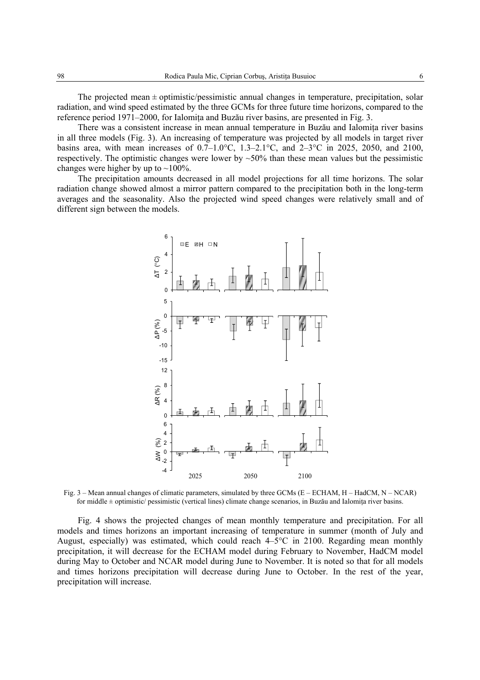The projected mean  $\pm$  optimistic/pessimistic annual changes in temperature, precipitation, solar radiation, and wind speed estimated by the three GCMs for three future time horizons, compared to the reference period 1971–2000, for Ialomita and Buzău river basins, are presented in Fig. 3.

There was a consistent increase in mean annual temperature in Buzău and Ialomiţa river basins in all three models (Fig. 3). An increasing of temperature was projected by all models in target river basins area, with mean increases of  $0.7-1.0$ °C,  $1.3-2.1$ °C, and  $2-3$ °C in 2025, 2050, and 2100, respectively. The optimistic changes were lower by  $\sim$ 50% than these mean values but the pessimistic changes were higher by up to  $\sim$ 100%.

The precipitation amounts decreased in all model projections for all time horizons. The solar radiation change showed almost a mirror pattern compared to the precipitation both in the long-term averages and the seasonality. Also the projected wind speed changes were relatively small and of different sign between the models.



Fig. 3 – Mean annual changes of climatic parameters, simulated by three GCMs (E – ECHAM, H – HadCM, N – NCAR) for middle ± optimistic/ pessimistic (vertical lines) climate change scenarios, in Buzău and Ialomiţa river basins.

Fig. 4 shows the projected changes of mean monthly temperature and precipitation. For all models and times horizons an important increasing of temperature in summer (month of July and August, especially) was estimated, which could reach 4–5°C in 2100. Regarding mean monthly precipitation, it will decrease for the ECHAM model during February to November, HadCM model during May to October and NCAR model during June to November. It is noted so that for all models and times horizons precipitation will decrease during June to October. In the rest of the year, precipitation will increase.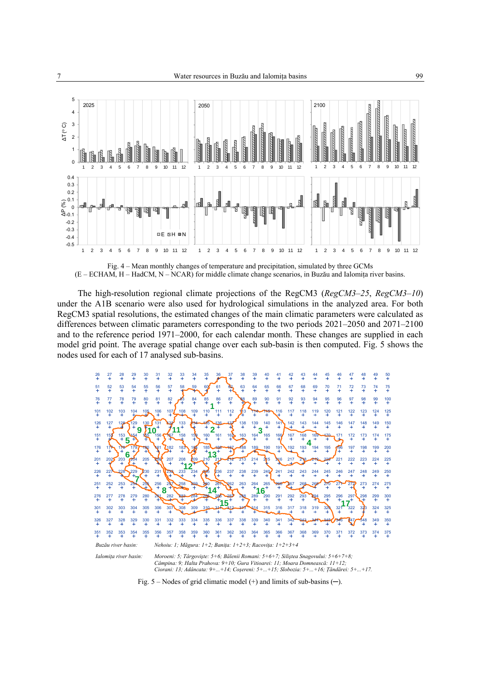

Fig. 4 – Mean monthly changes of temperature and precipitation, simulated by three GCMs (E – ECHAM, H – HadCM, N – NCAR) for middle climate change scenarios, in Buzău and Ialomiţa river basins.

The high-resolution regional climate projections of the RegCM3 (*RegCM3–25*, *RegCM3–10*) under the A1B scenario were also used for hydrological simulations in the analyzed area. For both RegCM3 spatial resolutions, the estimated changes of the main climatic parameters were calculated as differences between climatic parameters corresponding to the two periods 2021–2050 and 2071–2100 and to the reference period 1971–2000, for each calendar month. These changes are supplied in each model grid point. The average spatial change over each sub-basin is then computed. Fig. 5 shows the nodes used for each of 17 analysed sub-basins.



 *Ciorani: 13; Adâncata: 9+...+14; Coşereni: 5+...+15; Slobozia: 5+...+16; Ţăndărei: 5+...+17.* 

Fig. 5 – Nodes of grid climatic model (+) and limits of sub-basins (**─**).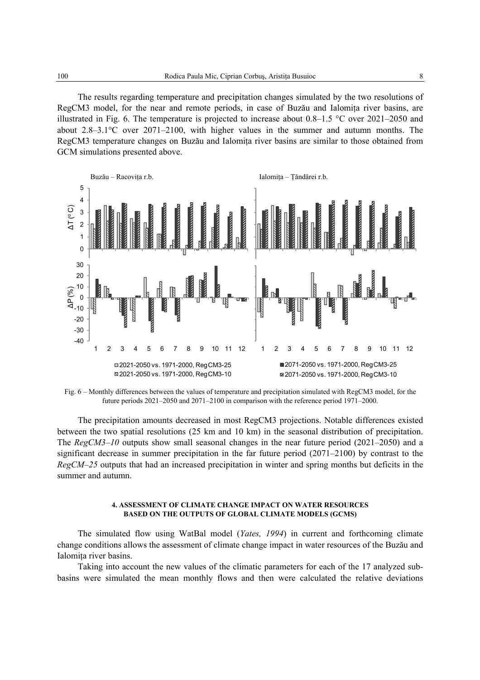The results regarding temperature and precipitation changes simulated by the two resolutions of RegCM3 model, for the near and remote periods, in case of Buzău and Ialomita river basins, are illustrated in Fig. 6. The temperature is projected to increase about 0.8–1.5 °C over 2021–2050 and about 2.8–3.1°C over 2071–2100, with higher values in the summer and autumn months. The RegCM3 temperature changes on Buzău and Ialomita river basins are similar to those obtained from GCM simulations presented above.



Fig. 6 – Monthly differences between the values of temperature and precipitation simulated with RegCM3 model, for the future periods 2021–2050 and 2071–2100 in comparison with the reference period 1971–2000.

The precipitation amounts decreased in most RegCM3 projections. Notable differences existed between the two spatial resolutions (25 km and 10 km) in the seasonal distribution of precipitation. The *RegCM3–10* outputs show small seasonal changes in the near future period (2021–2050) and a significant decrease in summer precipitation in the far future period (2071–2100) by contrast to the *RegCM–25* outputs that had an increased precipitation in winter and spring months but deficits in the summer and autumn.

#### **4. ASSESSMENT OF CLIMATE CHANGE IMPACT ON WATER RESOURCES BASED ON THE OUTPUTS OF GLOBAL CLIMATE MODELS (GCMS)**

The simulated flow using WatBal model (*Yates, 1994*) in current and forthcoming climate change conditions allows the assessment of climate change impact in water resources of the Buzău and Ialomita river basins.

Taking into account the new values of the climatic parameters for each of the 17 analyzed subbasins were simulated the mean monthly flows and then were calculated the relative deviations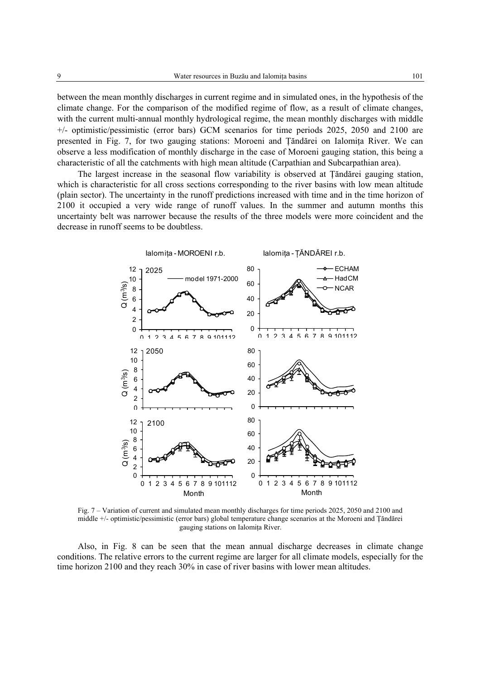between the mean monthly discharges in current regime and in simulated ones, in the hypothesis of the climate change. For the comparison of the modified regime of flow, as a result of climate changes, with the current multi-annual monthly hydrological regime, the mean monthly discharges with middle +/- optimistic/pessimistic (error bars) GCM scenarios for time periods 2025, 2050 and 2100 are presented in Fig. 7, for two gauging stations: Moroeni and Ţăndărei on Ialomiţa River. We can observe a less modification of monthly discharge in the case of Moroeni gauging station, this being a characteristic of all the catchments with high mean altitude (Carpathian and Subcarpathian area).

The largest increase in the seasonal flow variability is observed at Ţăndărei gauging station, which is characteristic for all cross sections corresponding to the river basins with low mean altitude (plain sector). The uncertainty in the runoff predictions increased with time and in the time horizon of 2100 it occupied a very wide range of runoff values. In the summer and autumn months this uncertainty belt was narrower because the results of the three models were more coincident and the decrease in runoff seems to be doubtless.



Fig. 7 – Variation of current and simulated mean monthly discharges for time periods 2025, 2050 and 2100 and middle +/- optimistic/pessimistic (error bars) global temperature change scenarios at the Moroeni and Ţăndărei gauging stations on Ialomiţa River.

Also, in Fig. 8 can be seen that the mean annual discharge decreases in climate change conditions. The relative errors to the current regime are larger for all climate models, especially for the time horizon 2100 and they reach 30% in case of river basins with lower mean altitudes.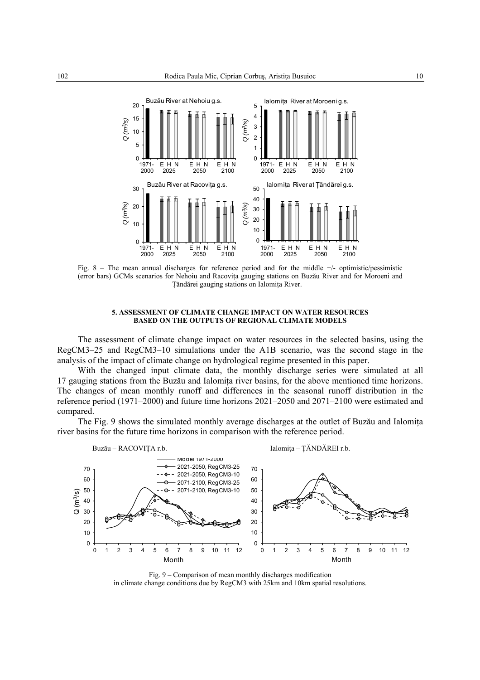

Fig. 8 – The mean annual discharges for reference period and for the middle +/- optimistic/pessimistic (error bars) GCMs scenarios for Nehoiu and Racoviţa gauging stations on Buzău River and for Moroeni and Ţăndărei gauging stations on Ialomiţa River.

#### **5. ASSESSMENT OF CLIMATE CHANGE IMPACT ON WATER RESOURCES BASED ON THE OUTPUTS OF REGIONAL CLIMATE MODELS**

The assessment of climate change impact on water resources in the selected basins, using the RegCM3–25 and RegCM3–10 simulations under the A1B scenario, was the second stage in the analysis of the impact of climate change on hydrological regime presented in this paper.

With the changed input climate data, the monthly discharge series were simulated at all 17 gauging stations from the Buzău and Ialomita river basins, for the above mentioned time horizons. The changes of mean monthly runoff and differences in the seasonal runoff distribution in the reference period (1971–2000) and future time horizons 2021–2050 and 2071–2100 were estimated and compared.

The Fig. 9 shows the simulated monthly average discharges at the outlet of Buzău and Ialomita river basins for the future time horizons in comparison with the reference period.



Fig. 9 – Comparison of mean monthly discharges modification in climate change conditions due by RegCM3 with 25km and 10km spatial resolutions.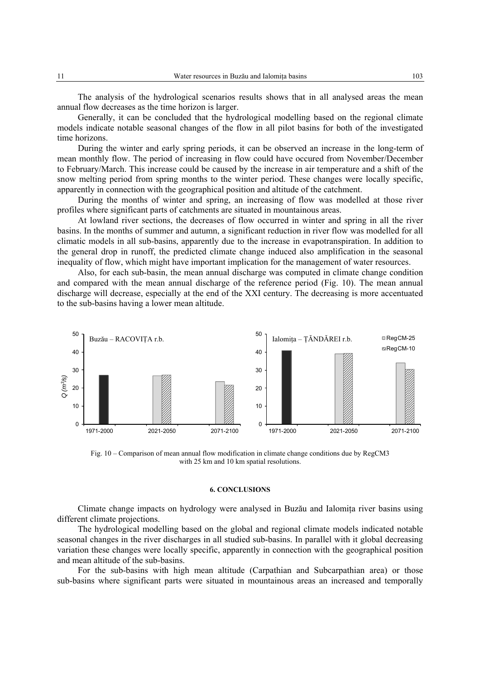The analysis of the hydrological scenarios results shows that in all analysed areas the mean annual flow decreases as the time horizon is larger.

Generally, it can be concluded that the hydrological modelling based on the regional climate models indicate notable seasonal changes of the flow in all pilot basins for both of the investigated time horizons.

During the winter and early spring periods, it can be observed an increase in the long-term of mean monthly flow. The period of increasing in flow could have occured from November/December to February/March. This increase could be caused by the increase in air temperature and a shift of the snow melting period from spring months to the winter period. These changes were locally specific, apparently in connection with the geographical position and altitude of the catchment.

During the months of winter and spring, an increasing of flow was modelled at those river profiles where significant parts of catchments are situated in mountainous areas.

At lowland river sections, the decreases of flow occurred in winter and spring in all the river basins. In the months of summer and autumn, a significant reduction in river flow was modelled for all climatic models in all sub-basins, apparently due to the increase in evapotranspiration. In addition to the general drop in runoff, the predicted climate change induced also amplification in the seasonal inequality of flow, which might have important implication for the management of water resources.

Also, for each sub-basin, the mean annual discharge was computed in climate change condition and compared with the mean annual discharge of the reference period (Fig. 10). The mean annual discharge will decrease, especially at the end of the XXI century. The decreasing is more accentuated to the sub-basins having a lower mean altitude.



Fig. 10 – Comparison of mean annual flow modification in climate change conditions due by RegCM3 with 25 km and 10 km spatial resolutions.

## **6. CONCLUSIONS**

Climate change impacts on hydrology were analysed in Buzău and Ialomiţa river basins using different climate projections.

The hydrological modelling based on the global and regional climate models indicated notable seasonal changes in the river discharges in all studied sub-basins. In parallel with it global decreasing variation these changes were locally specific, apparently in connection with the geographical position and mean altitude of the sub-basins.

For the sub-basins with high mean altitude (Carpathian and Subcarpathian area) or those sub-basins where significant parts were situated in mountainous areas an increased and temporally